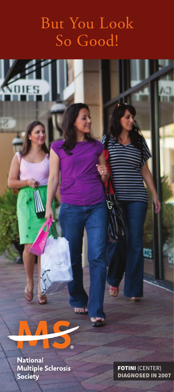# But You Look So Good!

National<br>Multiple Sclerosis Society

 $\overline{R}$ 

R

FOTINI (CENTER) DIAGNOSED IN 2007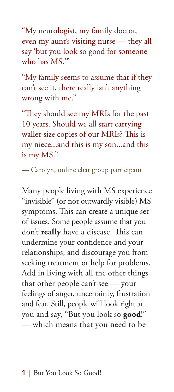"My neurologist, my family doctor, even my aunt's visiting nurse — they all say 'but you look so good for someone who has MS.'"

"My family seems to assume that if they can't see it, there really isn't anything wrong with me."

"They should see my MRIs for the past 10 years. Should we all start carrying wallet-size copies of our MRIs? This is my niece...and this is my son...and this is my MS."

— Carolyn, online chat group participant

Many people living with MS experience "invisible" (or not outwardly visible) MS symptoms. This can create a unique set of issues. Some people assume that you don't **really** have a disease. This can undermine your confidence and your relationships, and discourage you from seeking treatment or help for problems. Add in living with all the other things that other people can't see — your feelings of anger, uncertainty, frustration and fear. Still, people will look right at you and say, "But you look so **good**!" — which means that you need to be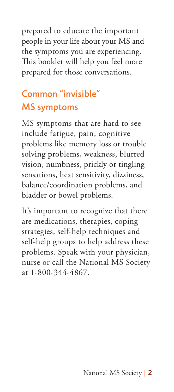prepared to educate the important people in your life about your MS and the symptoms you are experiencing. This booklet will help you feel more prepared for those conversations.

# Common "invisible" MS symptoms

MS symptoms that are hard to see include fatigue, pain, cognitive problems like memory loss or trouble solving problems, weakness, blurred vision, numbness, prickly or tingling sensations, heat sensitivity, dizziness, balance/coordination problems, and bladder or bowel problems.

It's important to recognize that there are medications, therapies, coping strategies, self-help techniques and self-help groups to help address these problems. Speak with your physician, nurse or call the National MS Society at 1-800-344-4867.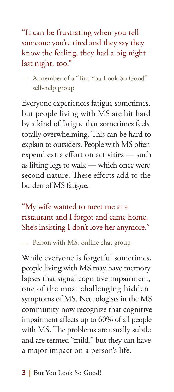"It can be frustrating when you tell someone you're tired and they say they know the feeling, they had a big night last night, too."

— A member of a "But You Look So Good" self-help group

Everyone experiences fatigue sometimes, but people living with MS are hit hard by a kind of fatigue that sometimes feels totally overwhelming. This can be hard to explain to outsiders. People with MS often expend extra effort on activities — such as lifting legs to walk — which once were second nature. These efforts add to the burden of MS fatigue.

"My wife wanted to meet me at a restaurant and I forgot and came home. She's insisting I don't love her anymore."

— Person with MS, online chat group

While everyone is forgetful sometimes, people living with MS may have memory lapses that signal cognitive impairment, one of the most challenging hidden symptoms of MS. Neurologists in the MS community now recognize that cognitive impairment affects up to 60% of all people with MS. The problems are usually subtle and are termed "mild," but they can have a major impact on a person's life.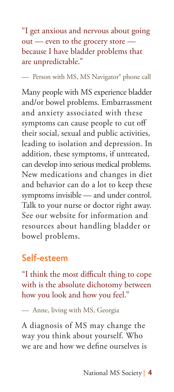"I get anxious and nervous about going out — even to the grocery store because I have bladder problems that are unpredictable."

— Person with MS, MS Navigator® phone call

Many people with MS experience bladder and/or bowel problems. Embarrassment and anxiety associated with these symptoms can cause people to cut off their social, sexual and public activities, leading to isolation and depression. In addition, these symptoms, if untreated, can develop into serious medical problems. New medications and changes in diet and behavior can do a lot to keep these symptoms invisible — and under control. Talk to your nurse or doctor right away. See our website for information and resources about handling bladder or bowel problems.

## Self-esteem

"I think the most difficult thing to cope with is the absolute dichotomy between how you look and how you feel."

— Anne, living with MS, Georgia

A diagnosis of MS may change the way you think about yourself. Who we are and how we define ourselves is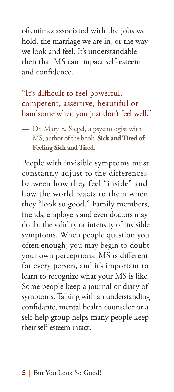oftentimes associated with the jobs we hold, the marriage we are in, or the way we look and feel. It's understandable then that MS can impact self-esteem and confidence.

#### "It's difficult to feel powerful, competent, assertive, beautiful or handsome when you just don't feel well."

— Dr. Mary E. Siegel, a psychologist with MS, author of the book, **Sick and Tired of Feeling Sick and Tired.**

People with invisible symptoms must constantly adjust to the differences between how they feel "inside" and how the world reacts to them when they "look so good." Family members, friends, employers and even doctors may doubt the validity or intensity of invisible symptoms. When people question you often enough, you may begin to doubt your own perceptions. MS is different for every person, and it's important to learn to recognize what your MS is like. Some people keep a journal or diary of symptoms. Talking with an understanding confidante, mental health counselor or a self-help group helps many people keep their self-esteem intact.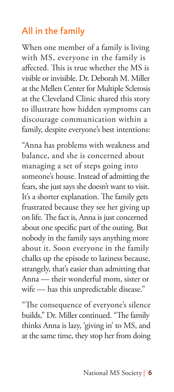## All in the family

When one member of a family is living with MS, everyone in the family is affected. This is true whether the MS is visible or invisible. Dr. Deborah M. Miller at the Mellen Center for Multiple Sclerosis at the Cleveland Clinic shared this story to illustrate how hidden symptoms can discourage communication within a family, despite everyone's best intentions:

"Anna has problems with weakness and balance, and she is concerned about managing a set of steps going into someone's house. Instead of admitting the fears, she just says she doesn't want to visit. It's a shorter explanation. The family gets frustrated because they see her giving up on life. The fact is, Anna is just concerned about one specific part of the outing. But nobody in the family says anything more about it. Soon everyone in the family chalks up the episode to laziness because, strangely, that's easier than admitting that Anna — their wonderful mom, sister or wife — has this unpredictable disease."

"The consequence of everyone's silence builds," Dr. Miller continued. "The family thinks Anna is lazy, 'giving in' to MS, and at the same time, they stop her from doing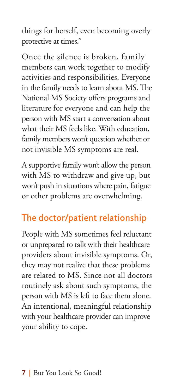things for herself, even becoming overly protective at times."

Once the silence is broken, family members can work together to modify activities and responsibilities. Everyone in the family needs to learn about MS. The National MS Society offers programs and literature for everyone and can help the person with MS start a conversation about what their MS feels like. With education, family members won't question whether or not invisible MS symptoms are real.

A supportive family won't allow the person with MS to withdraw and give up, but won't push in situations where pain, fatigue or other problems are overwhelming.

# The doctor/patient relationship

People with MS sometimes feel reluctant or unprepared to talk with their healthcare providers about invisible symptoms. Or, they may not realize that these problems are related to MS. Since not all doctors routinely ask about such symptoms, the person with MS is left to face them alone. An intentional, meaningful relationship with your healthcare provider can improve your ability to cope.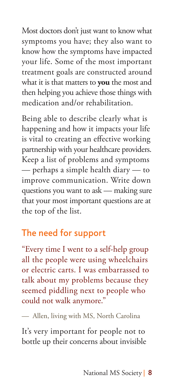Most doctors don't just want to know what symptoms you have; they also want to know how the symptoms have impacted your life. Some of the most important treatment goals are constructed around what it is that matters to **you** the most and then helping you achieve those things with medication and/or rehabilitation.

Being able to describe clearly what is happening and how it impacts your life is vital to creating an effective working partnership with your healthcare providers. Keep a list of problems and symptoms — perhaps a simple health diary — to improve communication. Write down questions you want to ask — making sure that your most important questions are at the top of the list.

## The need for support

"Every time I went to a self-help group all the people were using wheelchairs or electric carts. I was embarrassed to talk about my problems because they seemed piddling next to people who could not walk anymore."

— Allen, living with MS, North Carolina

It's very important for people not to bottle up their concerns about invisible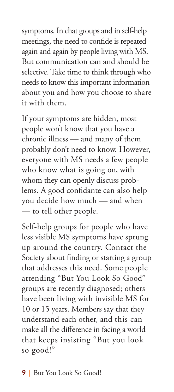symptoms. In chat groups and in self-help meetings, the need to confide is repeated again and again by people living with MS. But communication can and should be selective. Take time to think through who needs to know this important information about you and how you choose to share it with them.

If your symptoms are hidden, most people won't know that you have a chronic illness — and many of them probably don't need to know. However, everyone with MS needs a few people who know what is going on, with whom they can openly discuss problems. A good confidante can also help you decide how much — and when — to tell other people.

Self-help groups for people who have less visible MS symptoms have sprung up around the country. Contact the Society about finding or starting a group that addresses this need. Some people attending "But You Look So Good" groups are recently diagnosed; others have been living with invisible MS for 10 or 15 years. Members say that they understand each other, and this can make all the difference in facing a world that keeps insisting "But you look so good!"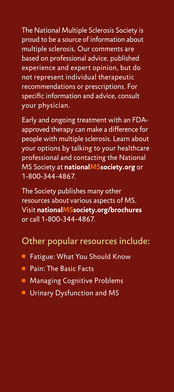The National Multiple Sclerosis Society is proud to be a source of information about multiple sclerosis. Our comments are based on professional advice, published experience and expert opinion, but do not represent individual therapeutic recommendations or prescriptions. For specific information and advice, consult your physician.

Early and ongoing treatment with an FDAapproved therapy can make a difference for people with multiple sclerosis. Learn about your options by talking to your healthcare professional and contacting the National MS Society at **nationalMSsociety.org** or 1-800-344-4867.

The Society publishes many other resources about various aspects of MS. Visit **nationalMSsociety.org/brochures** or call 1-800-344-4867.

#### Other popular resources include:

- Fatigue: What You Should Know
- **Pain: The Basic Facts**
- **n** Managing Cognitive Problems
- **Urinary Dysfunction and MS**